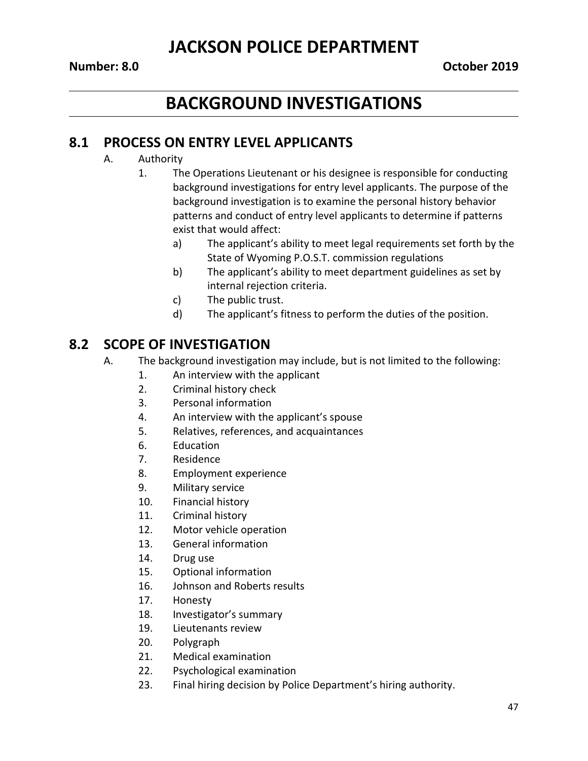### **JACKSON POLICE DEPARTMENT**

# **BACKGROUND INVESTIGATIONS**

#### **8.1 PROCESS ON ENTRY LEVEL APPLICANTS**

- A. Authority
	- 1. The Operations Lieutenant or his designee is responsible for conducting background investigations for entry level applicants. The purpose of the background investigation is to examine the personal history behavior patterns and conduct of entry level applicants to determine if patterns exist that would affect:
		- a) The applicant's ability to meet legal requirements set forth by the State of Wyoming P.O.S.T. commission regulations
		- b) The applicant's ability to meet department guidelines as set by internal rejection criteria.
		- c) The public trust.
		- d) The applicant's fitness to perform the duties of the position.

### **8.2 SCOPE OF INVESTIGATION**

- A. The background investigation may include, but is not limited to the following:
	- 1. An interview with the applicant
	- 2. Criminal history check
	- 3. Personal information
	- 4. An interview with the applicant's spouse
	- 5. Relatives, references, and acquaintances
	- 6. Education
	- 7. Residence
	- 8. Employment experience
	- 9. Military service
	- 10. Financial history
	- 11. Criminal history
	- 12. Motor vehicle operation
	- 13. General information
	- 14. Drug use
	- 15. Optional information
	- 16. Johnson and Roberts results
	- 17. Honesty
	- 18. Investigator's summary
	- 19. Lieutenants review
	- 20. Polygraph
	- 21. Medical examination
	- 22. Psychological examination
	- 23. Final hiring decision by Police Department's hiring authority.